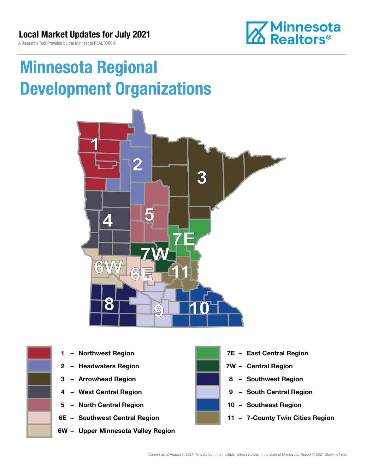A Research Tool Provided by the Minnesota REALTORS®



# Minnesota Regional Development Organizations





- 
- 2 Headwaters Region **1988 7W Central Region**
- 
- 
- 5 North Central Region 10 Southeast Region
- 
- 6W Upper Minnesota Valley Region



- 1 Northwest Region **1 1999 12 Property Contral Region** 
	-
- 3 Arrowhead Region **8 Southwest Region**
- 4 West Central Region **19 South Central Region** 
	-
- 6E Southwest Central Region **11 7-County Twin Cities Region**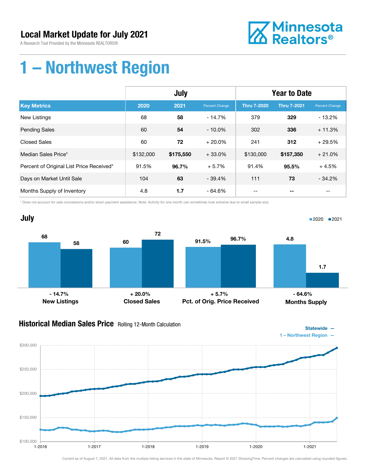A Research Tool Provided by the Minnesota REALTORS®



### 1 – Northwest Region

|                                          | July      |           |                | <b>Year to Date</b> |                    |                       |
|------------------------------------------|-----------|-----------|----------------|---------------------|--------------------|-----------------------|
| <b>Key Metrics</b>                       | 2020      | 2021      | Percent Change | <b>Thru 7-2020</b>  | <b>Thru 7-2021</b> | <b>Percent Change</b> |
| <b>New Listings</b>                      | 68        | 58        | $-14.7%$       | 379                 | 329                | $-13.2%$              |
| <b>Pending Sales</b>                     | 60        | 54        | $-10.0\%$      | 302                 | 336                | $+11.3%$              |
| <b>Closed Sales</b>                      | 60        | 72        | $+20.0\%$      | 241                 | 312                | $+29.5%$              |
| Median Sales Price*                      | \$132,000 | \$175,550 | $+33.0%$       | \$130,000           | \$157,350          | $+21.0%$              |
| Percent of Original List Price Received* | 91.5%     | 96.7%     | $+5.7%$        | 91.4%               | 95.5%              | $+4.5%$               |
| Days on Market Until Sale                | 104       | 63        | $-39.4%$       | 111                 | 73                 | $-34.2%$              |
| Months Supply of Inventory               | 4.8       | 1.7       | $-64.6%$       | --                  |                    | --                    |

\* Does not account for sale concessions and/or down payment assistance. Note: Activity for one month can sometimes look extreme due to small sample size.



#### **Historical Median Sales Price** Rolling 12-Month Calculation



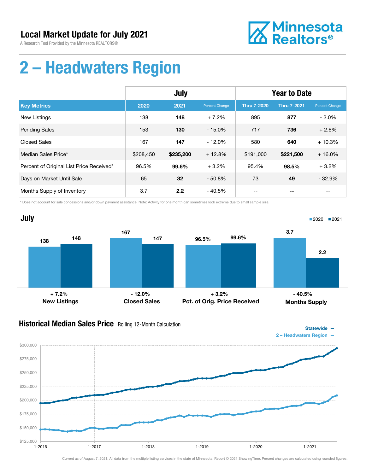A Research Tool Provided by the Minnesota REALTORS®



### 2 – Headwaters Region

|                                          | <b>July</b> |           |                | <b>Year to Date</b> |                    |                |
|------------------------------------------|-------------|-----------|----------------|---------------------|--------------------|----------------|
| <b>Key Metrics</b>                       | 2020        | 2021      | Percent Change | <b>Thru 7-2020</b>  | <b>Thru 7-2021</b> | Percent Change |
| New Listings                             | 138         | 148       | $+7.2%$        | 895                 | 877                | $-2.0%$        |
| <b>Pending Sales</b>                     | 153         | 130       | $-15.0%$       | 717                 | 736                | $+2.6%$        |
| <b>Closed Sales</b>                      | 167         | 147       | $-12.0%$       | 580                 | 640                | $+10.3%$       |
| Median Sales Price*                      | \$208,450   | \$235,200 | $+12.8%$       | \$191,000           | \$221,500          | $+16.0%$       |
| Percent of Original List Price Received* | 96.5%       | 99.6%     | $+3.2%$        | 95.4%               | 98.5%              | $+3.2%$        |
| Days on Market Until Sale                | 65          | 32        | $-50.8%$       | 73                  | 49                 | $-32.9%$       |
| Months Supply of Inventory               | 3.7         | 2.2       | $-40.5%$       | --                  |                    | --             |

\* Does not account for sale concessions and/or down payment assistance. Note: Activity for one month can sometimes look extreme due to small sample size.



### Historical Median Sales Price Rolling 12-Month Calculation



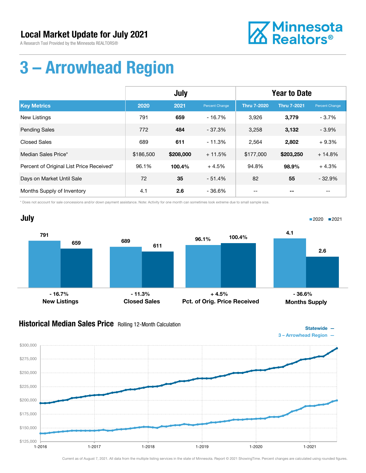A Research Tool Provided by the Minnesota REALTORS®



### 3 – Arrowhead Region

|                                          | <b>July</b> |           |                | <b>Year to Date</b> |                    |                |
|------------------------------------------|-------------|-----------|----------------|---------------------|--------------------|----------------|
| <b>Key Metrics</b>                       | 2020        | 2021      | Percent Change | <b>Thru 7-2020</b>  | <b>Thru 7-2021</b> | Percent Change |
| New Listings                             | 791         | 659       | $-16.7\%$      | 3,926               | 3,779              | $-3.7%$        |
| <b>Pending Sales</b>                     | 772         | 484       | $-37.3%$       | 3,258               | 3,132              | $-3.9%$        |
| <b>Closed Sales</b>                      | 689         | 611       | $-11.3%$       | 2,564               | 2,802              | $+9.3%$        |
| Median Sales Price*                      | \$186,500   | \$208,000 | $+11.5%$       | \$177,000           | \$203,250          | $+14.8%$       |
| Percent of Original List Price Received* | 96.1%       | 100.4%    | $+4.5%$        | 94.8%               | 98.9%              | $+4.3%$        |
| Days on Market Until Sale                | 72          | 35        | $-51.4%$       | 82                  | 55                 | $-32.9%$       |
| Months Supply of Inventory               | 4.1         | 2.6       | $-36.6%$       |                     |                    | --             |

\* Does not account for sale concessions and/or down payment assistance. Note: Activity for one month can sometimes look extreme due to small sample size.



### Historical Median Sales Price Rolling 12-Month Calculation

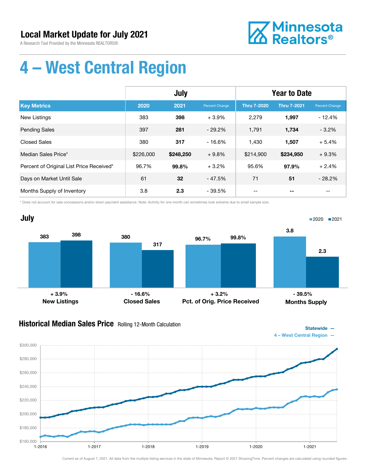A Research Tool Provided by the Minnesota REALTORS®



Statewide —

### 4 – West Central Region

|                                          | July      |           |                | <b>Year to Date</b> |                    |                |
|------------------------------------------|-----------|-----------|----------------|---------------------|--------------------|----------------|
| <b>Key Metrics</b>                       | 2020      | 2021      | Percent Change | <b>Thru 7-2020</b>  | <b>Thru 7-2021</b> | Percent Change |
| New Listings                             | 383       | 398       | $+3.9%$        | 2,279               | 1,997              | $-12.4%$       |
| <b>Pending Sales</b>                     | 397       | 281       | $-29.2%$       | 1,791               | 1,734              | $-3.2%$        |
| <b>Closed Sales</b>                      | 380       | 317       | $-16.6%$       | 1,430               | 1,507              | $+5.4%$        |
| Median Sales Price*                      | \$226,000 | \$248,250 | $+9.8%$        | \$214,900           | \$234,950          | $+9.3%$        |
| Percent of Original List Price Received* | 96.7%     | 99.8%     | $+3.2%$        | 95.6%               | 97.9%              | $+2.4%$        |
| Days on Market Until Sale                | 61        | 32        | $-47.5%$       | 71                  | 51                 | $-28.2%$       |
| Months Supply of Inventory               | 3.8       | 2.3       | - 39.5%        | --                  | --                 | $- -$          |

\* Does not account for sale concessions and/or down payment assistance. Note: Activity for one month can sometimes look extreme due to small sample size.



### Historical Median Sales Price Rolling 12-Month Calculation

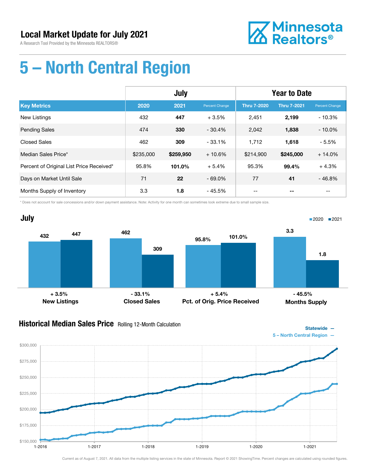A Research Tool Provided by the Minnesota REALTORS®



Statewide —

# 5 – North Central Region

|                                          | <b>July</b> |           |                | <b>Year to Date</b> |                    |                |
|------------------------------------------|-------------|-----------|----------------|---------------------|--------------------|----------------|
| <b>Key Metrics</b>                       | 2020        | 2021      | Percent Change | <b>Thru 7-2020</b>  | <b>Thru 7-2021</b> | Percent Change |
| <b>New Listings</b>                      | 432         | 447       | $+3.5%$        | 2,451               | 2,199              | $-10.3%$       |
| <b>Pending Sales</b>                     | 474         | 330       | $-30.4%$       | 2,042               | 1,838              | $-10.0\%$      |
| <b>Closed Sales</b>                      | 462         | 309       | $-33.1%$       | 1,712               | 1,618              | $-5.5%$        |
| Median Sales Price*                      | \$235,000   | \$259,950 | $+10.6%$       | \$214,900           | \$245,000          | $+14.0%$       |
| Percent of Original List Price Received* | 95.8%       | 101.0%    | $+5.4%$        | 95.3%               | 99.4%              | $+4.3%$        |
| Days on Market Until Sale                | 71          | 22        | $-69.0\%$      | 77                  | 41                 | $-46.8%$       |
| Months Supply of Inventory               | 3.3         | 1.8       | - 45.5%        | --                  |                    | --             |

\* Does not account for sale concessions and/or down payment assistance. Note: Activity for one month can sometimes look extreme due to small sample size.



#### **Historical Median Sales Price** Rolling 12-Month Calculation

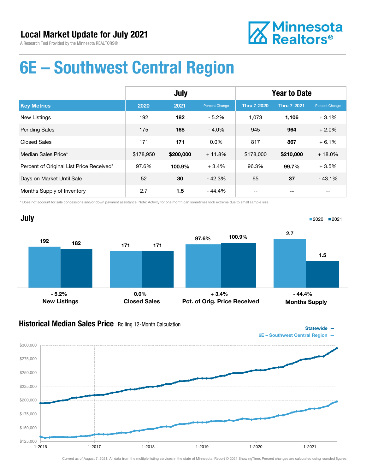A Research Tool Provided by the Minnesota REALTORS®



### 6E – Southwest Central Region

|                                          | <b>July</b> |           |                | <b>Year to Date</b> |                    |                |
|------------------------------------------|-------------|-----------|----------------|---------------------|--------------------|----------------|
| <b>Key Metrics</b>                       | 2020        | 2021      | Percent Change | <b>Thru 7-2020</b>  | <b>Thru 7-2021</b> | Percent Change |
| <b>New Listings</b>                      | 192         | 182       | $-5.2%$        | 1,073               | 1,106              | $+3.1%$        |
| <b>Pending Sales</b>                     | 175         | 168       | $-4.0%$        | 945                 | 964                | $+2.0%$        |
| <b>Closed Sales</b>                      | 171         | 171       | $0.0\%$        | 817                 | 867                | $+6.1%$        |
| Median Sales Price*                      | \$178,950   | \$200,000 | $+11.8%$       | \$178,000           | \$210,000          | $+18.0%$       |
| Percent of Original List Price Received* | 97.6%       | 100.9%    | $+3.4%$        | 96.3%               | 99.7%              | $+3.5%$        |
| Days on Market Until Sale                | 52          | 30        | $-42.3%$       | 65                  | 37                 | $-43.1%$       |
| Months Supply of Inventory               | 2.7         | 1.5       | $-44.4%$       |                     |                    |                |

\* Does not account for sale concessions and/or down payment assistance. Note: Activity for one month can sometimes look extreme due to small sample size.



#### **Historical Median Sales Price** Rolling 12-Month Calculation

Statewide — 6E – Southwest Central Region —

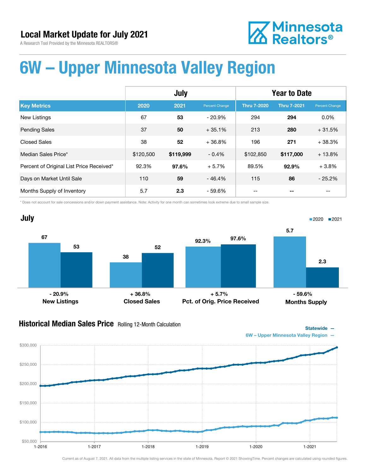**Z** Minnesota<br>**ZA** Realtors<sup>®</sup>

A Research Tool Provided by the Minnesota REALTORS®

### 6W – Upper Minnesota Valley Region

|                                          | July      |           |                | <b>Year to Date</b> |                    |                       |
|------------------------------------------|-----------|-----------|----------------|---------------------|--------------------|-----------------------|
| <b>Key Metrics</b>                       | 2020      | 2021      | Percent Change | <b>Thru 7-2020</b>  | <b>Thru 7-2021</b> | <b>Percent Change</b> |
| <b>New Listings</b>                      | 67        | 53        | $-20.9%$       | 294                 | 294                | 0.0%                  |
| <b>Pending Sales</b>                     | 37        | 50        | $+35.1%$       | 213                 | 280                | $+31.5%$              |
| <b>Closed Sales</b>                      | 38        | 52        | $+36.8%$       | 196                 | 271                | $+38.3%$              |
| Median Sales Price*                      | \$120,500 | \$119,999 | $-0.4%$        | \$102,850           | \$117,000          | $+13.8%$              |
| Percent of Original List Price Received* | 92.3%     | 97.6%     | $+5.7%$        | 89.5%               | 92.9%              | $+3.8%$               |
| Days on Market Until Sale                | 110       | 59        | $-46.4%$       | 115                 | 86                 | $-25.2%$              |
| Months Supply of Inventory               | 5.7       | 2.3       | - 59.6%        |                     | --                 | $ -$                  |

\* Does not account for sale concessions and/or down payment assistance. Note: Activity for one month can sometimes look extreme due to small sample size.



### Historical Median Sales Price Rolling 12-Month Calculation





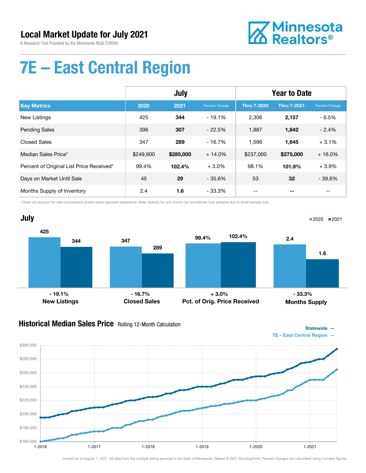A Research Tool Provided by the Minnesota REALTORS®



Statewide —

# 7E – East Central Region

|                                          | July      |           |                | <b>Year to Date</b> |                    |                |
|------------------------------------------|-----------|-----------|----------------|---------------------|--------------------|----------------|
| <b>Key Metrics</b>                       | 2020      | 2021      | Percent Change | <b>Thru 7-2020</b>  | <b>Thru 7-2021</b> | Percent Change |
| <b>New Listings</b>                      | 425       | 344       | $-19.1%$       | 2,306               | 2,157              | - 6.5%         |
| <b>Pending Sales</b>                     | 396       | 307       | $-22.5%$       | 1,887               | 1,842              | $-2.4%$        |
| <b>Closed Sales</b>                      | 347       | 289       | $-16.7%$       | 1,596               | 1,645              | $+3.1%$        |
| Median Sales Price*                      | \$249,900 | \$285,000 | $+14.0%$       | \$237,000           | \$275,000          | $+16.0%$       |
| Percent of Original List Price Received* | 99.4%     | 102.4%    | $+3.0%$        | 98.1%               | 101.9%             | $+3.9%$        |
| Days on Market Until Sale                | 45        | 29        | $-35.6\%$      | 53                  | 32                 | $-39.6%$       |
| Months Supply of Inventory               | 2.4       | 1.6       | $-33.3%$       |                     |                    |                |

\* Does not account for sale concessions and/or down payment assistance. Note: Activity for one month can sometimes look extreme due to small sample size.



#### **Historical Median Sales Price** Rolling 12-Month Calculation

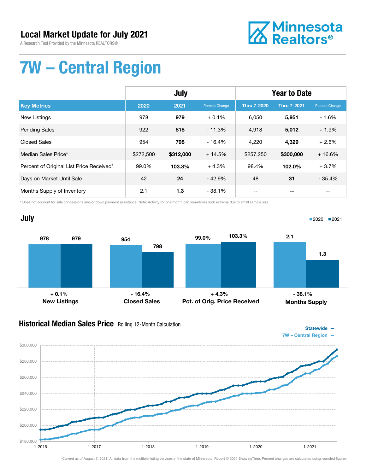A Research Tool Provided by the Minnesota REALTORS®



### 7W – Central Region

|                                          | <b>July</b> |           |                | <b>Year to Date</b> |                    |                |
|------------------------------------------|-------------|-----------|----------------|---------------------|--------------------|----------------|
| <b>Key Metrics</b>                       | 2020        | 2021      | Percent Change | <b>Thru 7-2020</b>  | <b>Thru 7-2021</b> | Percent Change |
| New Listings                             | 978         | 979       | $+0.1%$        | 6,050               | 5,951              | $-1.6%$        |
| <b>Pending Sales</b>                     | 922         | 818       | $-11.3%$       | 4,918               | 5,012              | $+1.9%$        |
| <b>Closed Sales</b>                      | 954         | 798       | $-16.4%$       | 4,220               | 4,329              | $+2.6%$        |
| Median Sales Price*                      | \$272,500   | \$312,000 | $+14.5%$       | \$257,250           | \$300,000          | $+16.6%$       |
| Percent of Original List Price Received* | 99.0%       | 103.3%    | $+4.3%$        | 98.4%               | 102.0%             | $+3.7%$        |
| Days on Market Until Sale                | 42          | 24        | $-42.9%$       | 48                  | 31                 | $-35.4%$       |
| Months Supply of Inventory               | 2.1         | 1.3       | $-38.1%$       |                     |                    |                |

\* Does not account for sale concessions and/or down payment assistance. Note: Activity for one month can sometimes look extreme due to small sample size.



#### **Historical Median Sales Price** Rolling 12-Month Calculation



Statewide —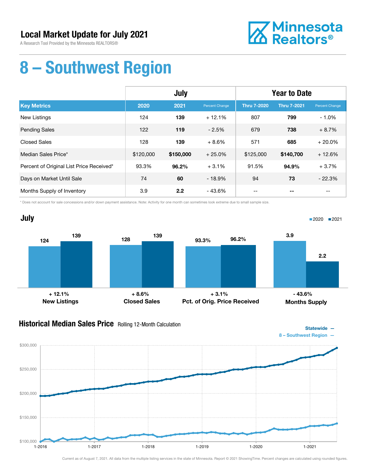A Research Tool Provided by the Minnesota REALTORS®



### 8 – Southwest Region

|                                          | <b>July</b> |           |                | <b>Year to Date</b> |                    |                          |
|------------------------------------------|-------------|-----------|----------------|---------------------|--------------------|--------------------------|
| <b>Key Metrics</b>                       | 2020        | 2021      | Percent Change | <b>Thru 7-2020</b>  | <b>Thru 7-2021</b> | Percent Change           |
| <b>New Listings</b>                      | 124         | 139       | $+12.1%$       | 807                 | 799                | $-1.0%$                  |
| <b>Pending Sales</b>                     | 122         | 119       | $-2.5%$        | 679                 | 738                | $+8.7%$                  |
| <b>Closed Sales</b>                      | 128         | 139       | $+8.6%$        | 571                 | 685                | $+20.0%$                 |
| Median Sales Price*                      | \$120,000   | \$150,000 | $+25.0%$       | \$125,000           | \$140,700          | $+12.6%$                 |
| Percent of Original List Price Received* | 93.3%       | 96.2%     | $+3.1%$        | 91.5%               | 94.9%              | $+3.7%$                  |
| Days on Market Until Sale                | 74          | 60        | $-18.9%$       | 94                  | 73                 | $-22.3%$                 |
| Months Supply of Inventory               | 3.9         | 2.2       | - 43.6%        | $- -$               | --                 | $\overline{\phantom{m}}$ |

\* Does not account for sale concessions and/or down payment assistance. Note: Activity for one month can sometimes look extreme due to small sample size.



#### **Historical Median Sales Price** Rolling 12-Month Calculation



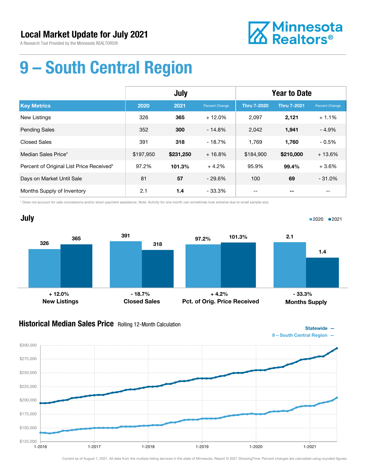A Research Tool Provided by the Minnesota REALTORS®



# 9 – South Central Region

|                                          | July      |           |                | <b>Year to Date</b> |                    |                |
|------------------------------------------|-----------|-----------|----------------|---------------------|--------------------|----------------|
| <b>Key Metrics</b>                       | 2020      | 2021      | Percent Change | <b>Thru 7-2020</b>  | <b>Thru 7-2021</b> | Percent Change |
| <b>New Listings</b>                      | 326       | 365       | $+12.0%$       | 2,097               | 2,121              | $+1.1%$        |
| <b>Pending Sales</b>                     | 352       | 300       | $-14.8%$       | 2,042               | 1,941              | $-4.9%$        |
| <b>Closed Sales</b>                      | 391       | 318       | $-18.7%$       | 1.769               | 1,760              | $-0.5%$        |
| Median Sales Price*                      | \$197,950 | \$231,250 | $+16.8%$       | \$184,900           | \$210,000          | $+13.6%$       |
| Percent of Original List Price Received* | 97.2%     | 101.3%    | $+4.2%$        | 95.9%               | 99.4%              | $+3.6%$        |
| Days on Market Until Sale                | 81        | 57        | $-29.6%$       | 100                 | 69                 | $-31.0%$       |
| Months Supply of Inventory               | 2.1       | 1.4       | $-33.3%$       |                     |                    |                |

\* Does not account for sale concessions and/or down payment assistance. Note: Activity for one month can sometimes look extreme due to small sample size.



#### **Historical Median Sales Price** Rolling 12-Month Calculation

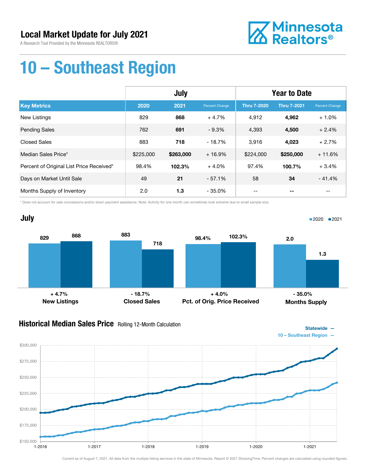A Research Tool Provided by the Minnesota REALTORS®



Statewide —

### 10 – Southeast Region

|                                          | July      |           |                | <b>Year to Date</b> |                    |                       |
|------------------------------------------|-----------|-----------|----------------|---------------------|--------------------|-----------------------|
| <b>Key Metrics</b>                       | 2020      | 2021      | Percent Change | <b>Thru 7-2020</b>  | <b>Thru 7-2021</b> | <b>Percent Change</b> |
| <b>New Listings</b>                      | 829       | 868       | $+4.7%$        | 4.912               | 4,962              | $+1.0%$               |
| <b>Pending Sales</b>                     | 762       | 691       | $-9.3%$        | 4,393               | 4,500              | $+2.4%$               |
| <b>Closed Sales</b>                      | 883       | 718       | $-18.7%$       | 3,916               | 4,023              | $+2.7%$               |
| Median Sales Price*                      | \$225,000 | \$263,000 | $+16.9%$       | \$224,000           | \$250,000          | $+11.6%$              |
| Percent of Original List Price Received* | 98.4%     | 102.3%    | $+4.0%$        | 97.4%               | 100.7%             | $+3.4%$               |
| Days on Market Until Sale                | 49        | 21        | $-57.1%$       | 58                  | 34                 | $-41.4%$              |
| Months Supply of Inventory               | 2.0       | 1.3       | $-35.0\%$      |                     |                    |                       |

\* Does not account for sale concessions and/or down payment assistance. Note: Activity for one month can sometimes look extreme due to small sample size.



#### Historical Median Sales Price Rolling 12-Month Calculation